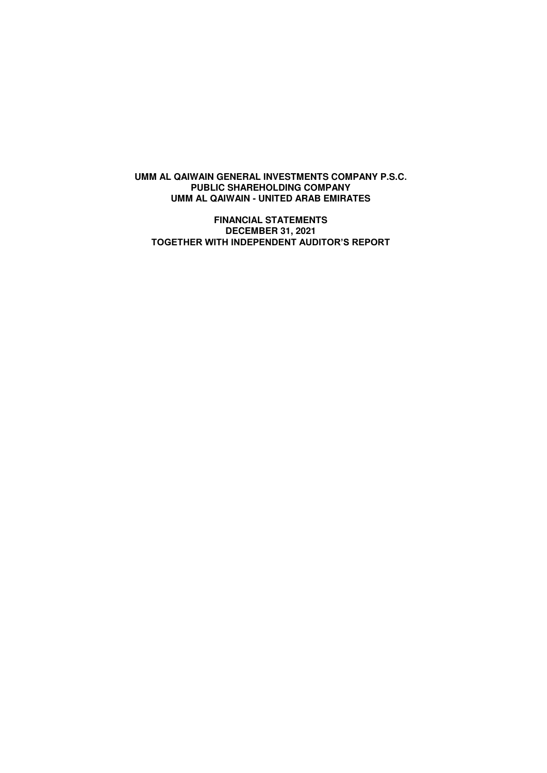**FINANCIAL STATEMENTS DECEMBER 31, 2021 TOGETHER WITH INDEPENDENT AUDITOR'S REPORT**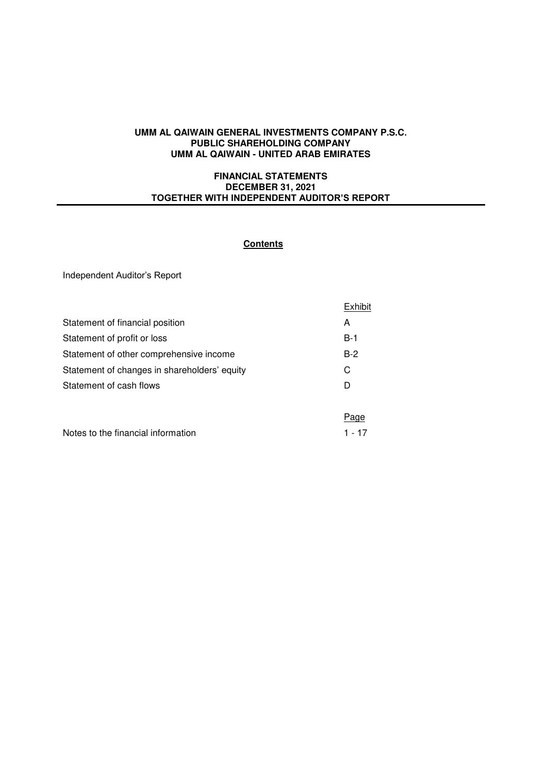### **FINANCIAL STATEMENTS DECEMBER 31, 2021 TOGETHER WITH INDEPENDENT AUDITOR'S REPORT**

## **Contents**

Independent Auditor's Report

|                                              | Exhibit |
|----------------------------------------------|---------|
| Statement of financial position              | A       |
| Statement of profit or loss                  | $B-1$   |
| Statement of other comprehensive income      | $B-2$   |
| Statement of changes in shareholders' equity | C       |
| Statement of cash flows                      | D       |
|                                              |         |
|                                              | Page    |
| Notes to the financial information           | 1 - 17  |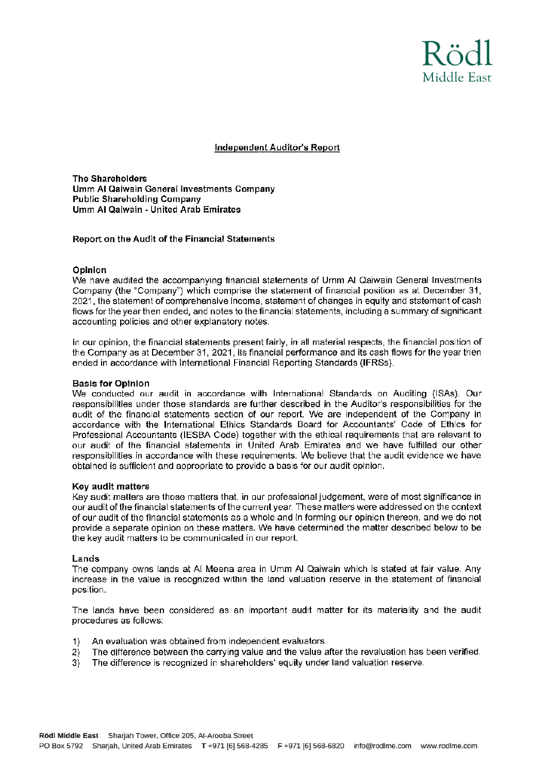

## **Independent Auditor's Report**

**The Shareholders** Umm Al Qaiwain General Investments Company **Public Shareholding Company Umm AI Qaiwain - United Arab Emirates** 

#### Report on the Audit of the Financial Statements

#### Opinion

We have audited the accompanying financial statements of Umm AI Qaiwain General Investments Company (the "Company") which comprise the statement of financial position as at December 31, 2021, the statement of comprehensive income, statement of changes in equity and statement of cash flows for the year then ended, and notes to the financial statements, including a summary of significant accounting policies and other explanatory notes.

In our opinion, the financial statements present fairly, in all material respects, the financial position of the Company as at December 31, 2021, its financial performance and its cash flows for the year then ended in accordance with International Financial Reporting Standards (IFRSs).

#### **Basis for Opinion**

We conducted our audit in accordance with International Standards on Auditing (ISAs). Our responsibilities under those standards are further described in the Auditor's responsibilities for the audit of the financial statements section of our report. We are independent of the Company in accordance with the International Ethics Standards Board for Accountants' Code of Ethics for Professional Accountants (IESBA Code) together with the ethical requirements that are relevant to our audit of the financial statements in United Arab Emirates and we have fulfilled our other responsibilities in accordance with these requirements. We believe that the audit evidence we have obtained is sufficient and appropriate to provide a basis for our audit opinion.

#### Key audit matters

Key audit matters are those matters that, in our professional judgement, were of most significance in our audit of the financial statements of the current year. These matters were addressed on the context of our audit of the financial statements as a whole and in forming our opinion thereon, and we do not provide a separate opinion on these matters. We have determined the matter described below to be the key audit matters to be communicated in our report.

#### Lands

The company owns lands at AI Meena area in Umm AI Qaiwain which is stated at fair value. Any increase in the value is recognized within the land valuation reserve in the statement of financial position.

The lands have been considered as an important audit matter for its materiality and the audit procedures as follows:

- An evaluation was obtained from independent evaluators.  $1)$
- The difference between the carrying value and the value after the revaluation has been verified.  $2)$
- $3)$ The difference is recognized in shareholders' equity under land valuation reserve.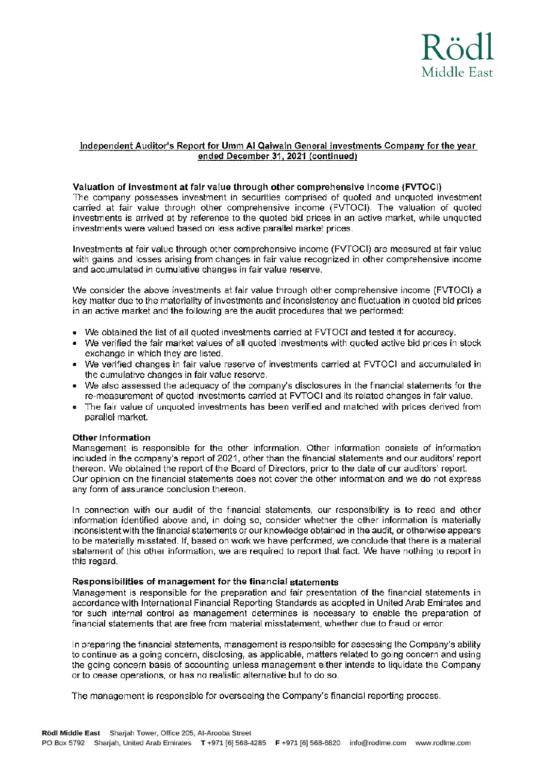

## Independent Auditor's Report for Umm AI Qaiwain General Investments Company for the year ended December 31, 2021 (continued)

#### Valuation of investment at fair value through other comprehensive income (FVTOCI)

The company possesses investment in securities comprised of quoted and unquoted investment carried at fair value through other comprehensive income (FVTOCI). The valuation of quoted investments is arrived at by reference to the quoted bid prices in an active market, while unquoted investments were valued based on less active parallel market prices.

Investments at fair value through other comprehensive income (FVTOCI) are measured at fair value with gains and losses arising from changes in fair value recognized in other comprehensive income and accumulated in cumulative changes in fair value reserve.

We consider the above investments at fair value through other comprehensive income (FVTOCI) a key matter due to the materiality of investments and inconsistency and fluctuation in quoted bid prices in an active market and the following are the audit procedures that we performed:

- We obtained the list of all quoted investments carried at FVTOCI and tested it for accuracy.
- We verified the fair market values of all quoted investments with quoted active bid prices in stock exchange in which they are listed.
- We verified changes in fair value reserve of investments carried at FVTOCI and accumulated in the cumulative changes in fair value reserve.
- We also assessed the adequacy of the company's disclosures in the financial statements for the re-measurement of quoted investments carried at FVTOCI and its related changes in fair value.
- The fair value of unquoted investments has been verified and matched with prices derived from parallel market.

#### **Other Information**

Management is responsible for the other information. Other information consists of information included in the company's report of 2021, other than the financial statements and our auditors' report thereon. We obtained the report of the Board of Directors, prior to the date of our auditors' report. Our opinion on the financial statements does not cover the other information and we do not express any form of assurance conclusion thereon.

In connection with our audit of the financial statements, our responsibility is to read and other information identified above and, in doing so, consider whether the other information is materially inconsistent with the financial statements or our knowledge obtained in the audit, or otherwise appears to be materially misstated. If, based on work we have performed, we conclude that there is a material statement of this other information, we are required to report that fact. We have nothing to report in this regard.

#### Responsibilities of management for the financial statements

Management is responsible for the preparation and fair presentation of the financial statements in accordance with International Financial Reporting Standards as adopted in United Arab Emirates and for such internal control as management determines is necessary to enable the preparation of financial statements that are free from material misstatement, whether due to fraud or error,

In preparing the financial statements, management is responsible for assessing the Company's ability to continue as a going concern, disclosing, as applicable, matters related to going concern and using the going concern basis of accounting unless management either intends to liquidate the Company or to cease operations, or has no realistic alternative but to do so.

The management is responsible for overseeing the Company's financial reporting process.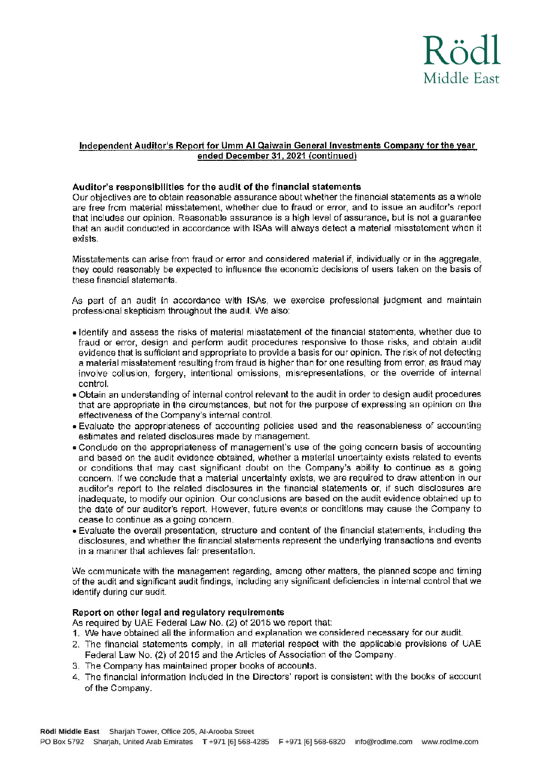

## Independent Auditor's Report for Umm AI Qaiwain General Investments Company for the year ended December 31, 2021 (continued)

### Auditor's responsibilities for the audit of the financial statements

Our objectives are to obtain reasonable assurance about whether the financial statements as a whole are free from material misstatement, whether due to fraud or error, and to issue an auditor's report that includes our opinion. Reasonable assurance is a high level of assurance, but is not a guarantee that an audit conducted in accordance with ISAs will always detect a material misstatement when it exists

Misstatements can arise from fraud or error and considered material if, individually or in the aggregate, they could reasonably be expected to influence the economic decisions of users taken on the basis of these financial statements.

As part of an audit in accordance with ISAs, we exercise professional judgment and maintain professional skepticism throughout the audit. We also:

- I dentify and assess the risks of material misstatement of the financial statements, whether due to fraud or error, design and perform audit procedures responsive to those risks, and obtain audit evidence that is sufficient and appropriate to provide a basis for our opinion. The risk of not detecting a material misstatement resulting from fraud is higher than for one resulting from error, as fraud may involve collusion, forgery, intentional omissions, misrepresentations, or the override of internal control.
- . Obtain an understanding of internal control relevant to the audit in order to design audit procedures that are appropriate in the circumstances, but not for the purpose of expressing an opinion on the effectiveness of the Company's internal control.
- . Evaluate the appropriateness of accounting policies used and the reasonableness of accounting estimates and related disclosures made by management.
- . Conclude on the appropriateness of management's use of the going concern basis of accounting and based on the audit evidence obtained, whether a material uncertainty exists related to events or conditions that may cast significant doubt on the Company's ability to continue as a going concern. If we conclude that a material uncertainty exists, we are required to draw attention in our auditor's report to the related disclosures in the financial statements or, if such disclosures are inadequate, to modify our opinion. Our conclusions are based on the audit evidence obtained up to the date of our auditor's report. However, future events or conditions may cause the Company to cease to continue as a going concern.
- . Evaluate the overall presentation, structure and content of the financial statements, including the disclosures, and whether the financial statements represent the underlying transactions and events in a manner that achieves fair presentation.

We communicate with the management regarding, among other matters, the planned scope and timing of the audit and significant audit findings, including any significant deficiencies in internal control that we identify during our audit.

### Report on other legal and regulatory requirements

- As required by UAE Federal Law No. (2) of 2015 we report that:
- 1. We have obtained all the information and explanation we considered necessary for our audit.
- 2. The financial statements comply, in all material respect with the applicable provisions of UAE Federal Law No. (2) of 2015 and the Articles of Association of the Company.
- 3. The Company has maintained proper books of accounts.
- 4. The financial information included in the Directors' report is consistent with the books of account of the Company.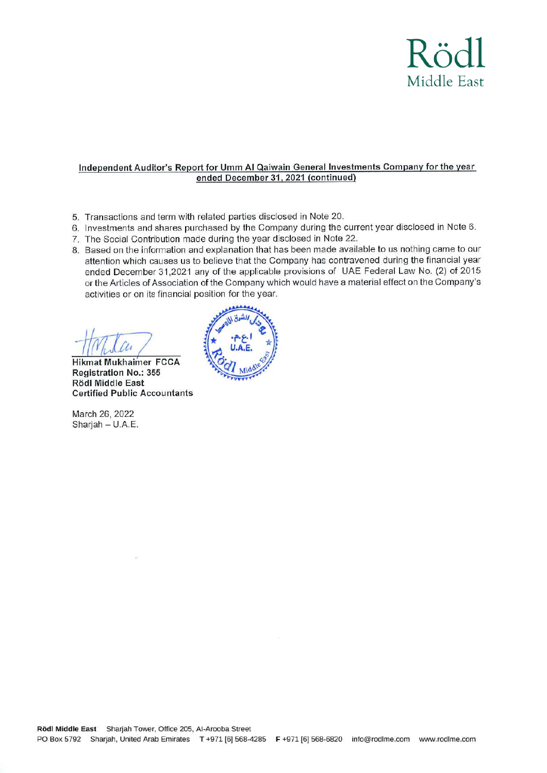

#### Independent Auditor's Report for Umm AI Qaiwain General Investments Company for the year ended December 31, 2021 (continued)

- 5. Transactions and term with related parties disclosed in Note 20.
- 6. Investments and shares purchased by the Company during the current year disclosed in Note 6.
- 7. The Social Contribution made during the year disclosed in Note 22.
- 8. Based on the information and explanation that has been made available to us nothing came to our attention which causes us to believe that the Company has contravened during the financial year ended December 31,2021 any of the applicable provisions of UAE Federal Law No. (2) of 2015 or the Articles of Association of the Company which would have a material effect on the Company's activities or on its financial position for the year.

**Hikmat Mukhaimer FCCA** Registration No.: 355 Rödl Middle East **Certified Public Accountants** 

March 26, 2022 Sharjah - U.A.E.

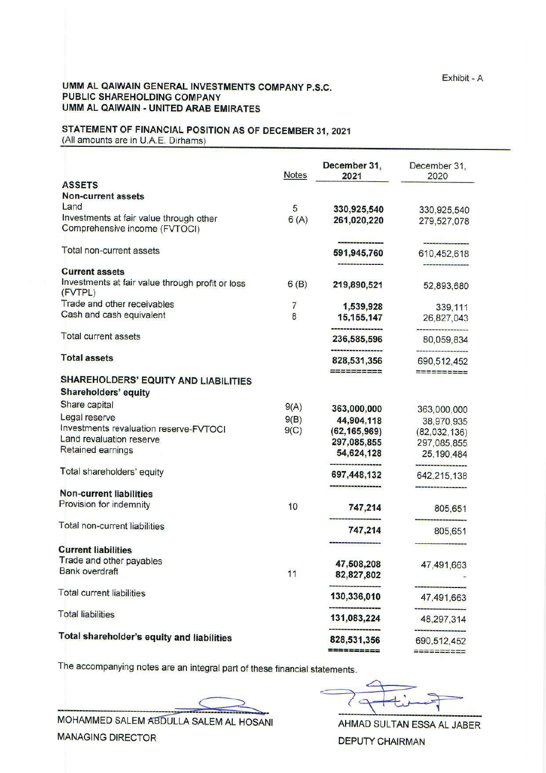## STATEMENT OF FINANCIAL POSITION AS OF DECEMBER 31, 2021 (All amounts are in U.A.E. Dirhams)

December 31. December 31. **Notes** 2021 2020 **ASSETS** Non-current assets Land 5 330.925.540 330,925,540 Investments at fair value through other  $6(A)$ 261,020,220 279,527,078 Comprehensive income (FVTOCI) Total non-current assets 591,945,760 610,452,618 <u> Luisian Millian</u> **Current assets** Investments at fair value through profit or loss  $6(B)$ 219,890,521 52,893,680 (FVTPL) Trade and other receivables  $\overline{7}$ 1,539,928 339.111 Cash and cash equivalent 8 15.155.147 26,827,043 **Total current assets** 236,585,596 80,059,834 --------------**Total assets** 828,531,356 690,512,452 ========== ESSERSERS **SHAREHOLDERS' EQUITY AND LIABILITIES** Shareholders' equity Share capital  $9(A)$ 363,000,000 363,000,000 Legal reserve  $9(B)$ 44,904,118 38,970,935 Investments revaluation reserve-FVTOCI  $9(C)$  $(62, 165, 969)$  $(82,032,136)$ Land revaluation reserve 297,085,855 297.085.855 Retained earnings 54,624,128 25, 190, 484 Total shareholders' equity 697,448,132 642,215,138 **Non-current liabilities** Provision for indemnity 10 747.214 805,651 Total non-current liabilities 747,214 805,651 **Current liabilities** Trade and other pavables 47,508,208 47,491,663 **Bank overdraft** 11 82,827,802 **Total current liabilities** 130,336,010 47.491.663 **Total liabilities** 131,083,224 48,297,314 Total shareholder's equity and liabilities 828,531,356 690.512.452 **ESSERENCE** 

The accompanying notes are an integral part of these financial statements.

MOHAMMED SALEM ABDULLA SALEM AL HOSANI **MANAGING DIRECTOR** 

AHMAD SULTAN ESSA AL JABER **DEPUTY CHAIRMAN**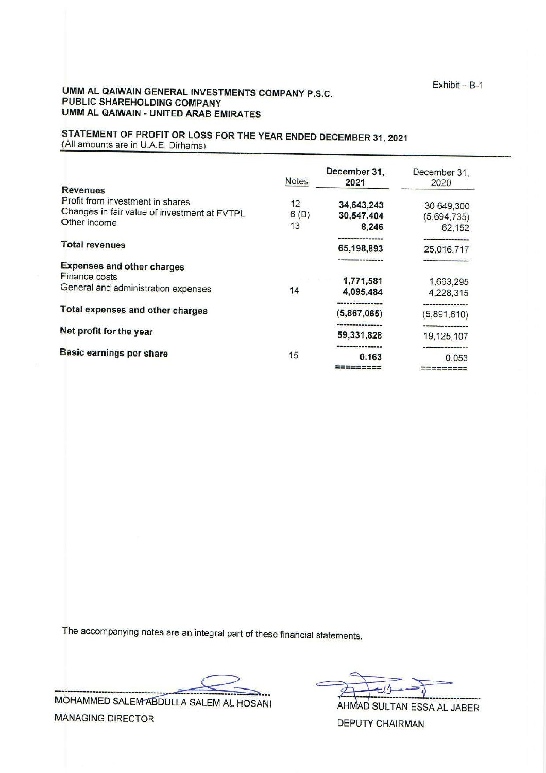## STATEMENT OF PROFIT OR LOSS FOR THE YEAR ENDED DECEMBER 31, 2021 (All amounts are in U.A.E. Dirhams)

|                                              | <b>Notes</b> | December 31,<br>2021 | December 31.<br>2020              |
|----------------------------------------------|--------------|----------------------|-----------------------------------|
| <b>Revenues</b>                              |              |                      |                                   |
| Profit from investment in shares             | 12           | 34,643,243           | 30,649,300                        |
| Changes in fair value of investment at FVTPL | 6(B)         | 30,547,404           | (5,694,735)                       |
| Other income                                 | 13           | 8.246                | 62,152                            |
| <b>Total revenues</b>                        |              | 65,198,893           | -------------------<br>25,016,717 |
|                                              |              |                      |                                   |
| <b>Expenses and other charges</b>            |              |                      |                                   |
| <b>Finance costs</b>                         |              | 1,771,581            | 1,663,295                         |
| General and administration expenses          | 14           | 4.095.484            | 4,228,315                         |
| Total expenses and other charges             |              |                      |                                   |
|                                              |              | (5,867,065)          | (5,891,610)                       |
| Net profit for the year                      |              | 59,331,828           | 19, 125, 107                      |
|                                              |              |                      |                                   |
| <b>Basic earnings per share</b>              | 15           | 0.163                | 0.053                             |
|                                              |              | --------             | =========                         |

The accompanying notes are an integral part of these financial statements.

MOHAMMED SALEM ABDULLA SALEM AL HOSANI **MANAGING DIRECTOR** 

 $H'$ 

AHMAD SULTAN ESSA AL JABER **DEPUTY CHAIRMAN**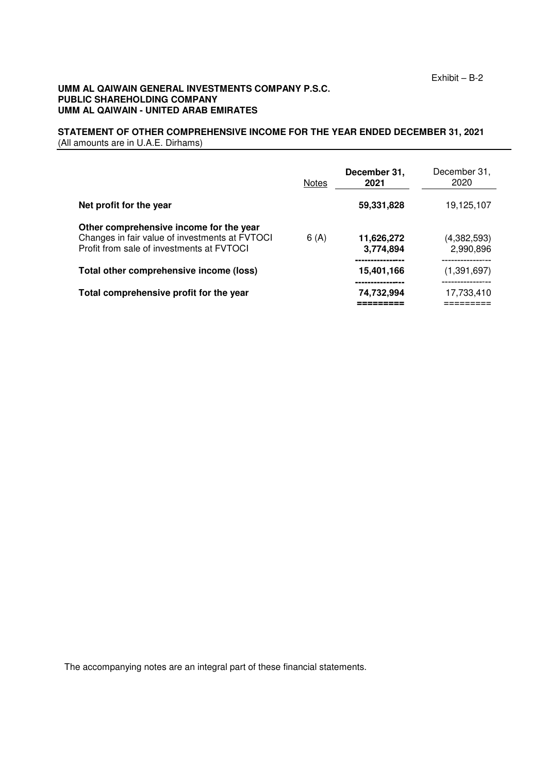#### **STATEMENT OF OTHER COMPREHENSIVE INCOME FOR THE YEAR ENDED DECEMBER 31, 2021** (All amounts are in U.A.E. Dirhams)

|                                                                                                                                        | <b>Notes</b> | December 31,<br>2021        | December 31,<br>2020     |
|----------------------------------------------------------------------------------------------------------------------------------------|--------------|-----------------------------|--------------------------|
| Net profit for the year                                                                                                                |              | 59,331,828                  | 19.125.107               |
| Other comprehensive income for the year<br>Changes in fair value of investments at FVTOCI<br>Profit from sale of investments at FVTOCI | 6(A)         | 11,626,272<br>3,774,894     | (4,382,593)<br>2,990,896 |
| Total other comprehensive income (loss)                                                                                                |              | 15.401.166                  | (1.391.697)              |
| Total comprehensive profit for the year                                                                                                |              | -------------<br>74,732,994 | .<br>17,733,410          |

The accompanying notes are an integral part of these financial statements.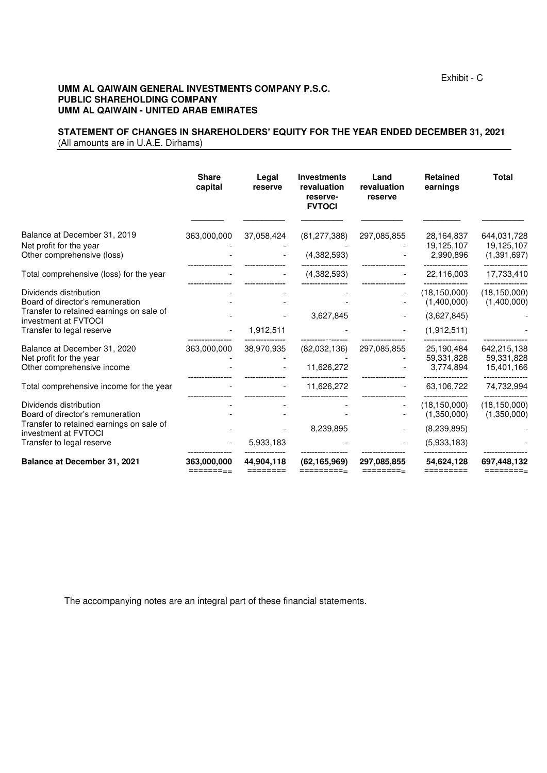#### **STATEMENT OF CHANGES IN SHAREHOLDERS' EQUITY FOR THE YEAR ENDED DECEMBER 31, 2021** (All amounts are in U.A.E. Dirhams)

|                                                                                                        | <b>Share</b><br>capital | Legal<br>reserve       | <b>Investments</b><br>revaluation<br>reserve-<br><b>FVTOCI</b> | Land<br>revaluation<br>reserve | <b>Retained</b><br>earnings           | <b>Total</b>                               |
|--------------------------------------------------------------------------------------------------------|-------------------------|------------------------|----------------------------------------------------------------|--------------------------------|---------------------------------------|--------------------------------------------|
| Balance at December 31, 2019<br>Net profit for the year<br>Other comprehensive (loss)                  | 363,000,000             | 37,058,424             | (81, 277, 388)<br>(4, 382, 593)                                | 297,085,855                    | 28,164,837<br>19,125,107<br>2,990,896 | 644,031,728<br>19,125,107<br>(1, 391, 697) |
| Total comprehensive (loss) for the year                                                                |                         |                        | (4,382,593)                                                    |                                | 22,116,003                            | 17,733,410                                 |
| Dividends distribution<br>Board of director's remuneration<br>Transfer to retained earnings on sale of |                         |                        |                                                                |                                | (18, 150, 000)<br>(1,400,000)         | (18, 150, 000)<br>(1,400,000)              |
| investment at FVTOCI<br>Transfer to legal reserve                                                      |                         | 1,912,511              | 3,627,845                                                      |                                | (3,627,845)<br>(1,912,511)            |                                            |
| Balance at December 31, 2020<br>Net profit for the year<br>Other comprehensive income                  | 363,000,000             | 38,970,935             | (82,032,136)<br>11,626,272                                     | 297,085,855                    | 25,190,484<br>59,331,828<br>3,774,894 | 642,215,138<br>59,331,828<br>15,401,166    |
| Total comprehensive income for the year                                                                |                         |                        | 11,626,272                                                     |                                | 63,106,722                            | 74,732,994                                 |
| Dividends distribution<br>Board of director's remuneration                                             |                         |                        |                                                                |                                | (18, 150, 000)<br>(1,350,000)         | (18, 150, 000)<br>(1,350,000)              |
| Transfer to retained earnings on sale of<br>investment at FVTOCI                                       |                         |                        | 8,239,895                                                      |                                | (8, 239, 895)                         |                                            |
| Transfer to legal reserve                                                                              |                         | 5,933,183              |                                                                |                                | (5,933,183)                           |                                            |
| <b>Balance at December 31, 2021</b>                                                                    | 363,000,000<br>======== | 44,904,118<br>======== | (62, 165, 969)<br>=========-                                   | 297,085,855<br>========-       | 54,624,128<br>=========               | 697,448,132<br>=========                   |

The accompanying notes are an integral part of these financial statements.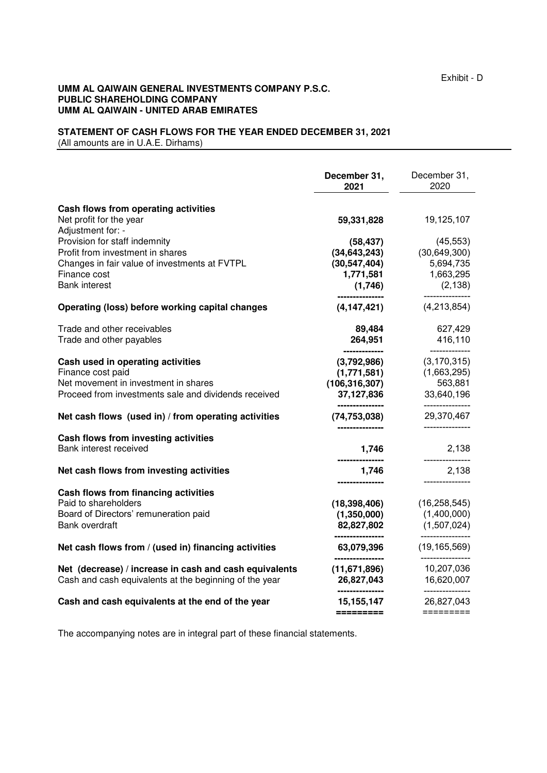#### **STATEMENT OF CASH FLOWS FOR THE YEAR ENDED DECEMBER 31, 2021** (All amounts are in U.A.E. Dirhams)

|                                                        | December 31,<br>2021                                                                          | December 31,<br>2020               |
|--------------------------------------------------------|-----------------------------------------------------------------------------------------------|------------------------------------|
| Cash flows from operating activities                   |                                                                                               |                                    |
| Net profit for the year<br>Adjustment for: -           | 59,331,828                                                                                    | 19,125,107                         |
| Provision for staff indemnity                          | (58, 437)                                                                                     | (45, 553)                          |
| Profit from investment in shares                       | (34, 643, 243)                                                                                | (30, 649, 300)                     |
| Changes in fair value of investments at FVTPL          | (30, 547, 404)                                                                                | 5,694,735                          |
| Finance cost                                           | 1,771,581                                                                                     | 1,663,295                          |
| <b>Bank interest</b>                                   | (1,746)                                                                                       | (2, 138)                           |
| Operating (loss) before working capital changes        | ---------------<br>(4, 147, 421)                                                              | (4,213,854)                        |
| Trade and other receivables                            | 89,484                                                                                        | 627,429                            |
| Trade and other payables                               | 264,951                                                                                       | 416,110                            |
| Cash used in operating activities                      | --------------<br>(3,792,986)                                                                 | --------------<br>(3, 170, 315)    |
| Finance cost paid                                      | (1,771,581)                                                                                   | (1,663,295)                        |
| Net movement in investment in shares                   | (106, 316, 307)                                                                               | 563,881                            |
| Proceed from investments sale and dividends received   | 37,127,836                                                                                    | 33,640,196                         |
| Net cash flows (used in) / from operating activities   | ---------------<br>(74, 753, 038)                                                             | ---------------<br>29,370,467      |
| Cash flows from investing activities                   | ---------------                                                                               | ---------------                    |
| Bank interest received                                 | 1,746                                                                                         | 2,138<br>---------------           |
| Net cash flows from investing activities               | 1.746                                                                                         | 2,138                              |
| Cash flows from financing activities                   | ---------------                                                                               | ---------------                    |
| Paid to shareholders                                   | (18, 398, 406)                                                                                | (16, 258, 545)                     |
| Board of Directors' remuneration paid                  | (1,350,000)                                                                                   | (1,400,000)                        |
| Bank overdraft                                         | 82,827,802                                                                                    | (1,507,024)                        |
| Net cash flows from / (used in) financing activities   | ----------------<br>63,079,396                                                                | ----------------<br>(19, 165, 569) |
| Net (decrease) / increase in cash and cash equivalents | -------------<br>(11, 671, 896)                                                               | 10,207,036                         |
| Cash and cash equivalents at the beginning of the year | 26,827,043                                                                                    | 16,620,007                         |
| Cash and cash equivalents at the end of the year       | ---------------<br>15, 155, 147                                                               | ---------------<br>26,827,043      |
|                                                        | $\begin{array}{c} \textbf{m} = \textbf{m} = \textbf{m} = \textbf{m} = \textbf{m} \end{array}$ | $=$ ========                       |

The accompanying notes are in integral part of these financial statements.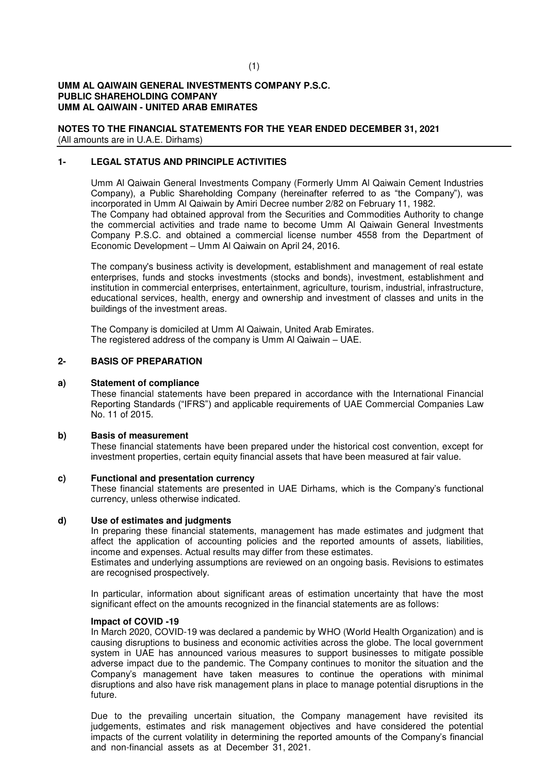**NOTES TO THE FINANCIAL STATEMENTS FOR THE YEAR ENDED DECEMBER 31, 2021** (All amounts are in U.A.E. Dirhams)

#### **1- LEGAL STATUS AND PRINCIPLE ACTIVITIES**

Umm Al Qaiwain General Investments Company (Formerly Umm Al Qaiwain Cement Industries Company), a Public Shareholding Company (hereinafter referred to as "the Company"), was incorporated in Umm Al Qaiwain by Amiri Decree number 2/82 on February 11, 1982. The Company had obtained approval from the Securities and Commodities Authority to change the commercial activities and trade name to become Umm Al Qaiwain General Investments Company P.S.C. and obtained a commercial license number 4558 from the Department of Economic Development – Umm Al Qaiwain on April 24, 2016.

The company's business activity is development, establishment and management of real estate enterprises, funds and stocks investments (stocks and bonds), investment, establishment and institution in commercial enterprises, entertainment, agriculture, tourism, industrial, infrastructure, educational services, health, energy and ownership and investment of classes and units in the buildings of the investment areas.

The Company is domiciled at Umm Al Qaiwain, United Arab Emirates. The registered address of the company is Umm Al Qaiwain – UAE.

## **2- BASIS OF PREPARATION**

#### **a) Statement of compliance**

These financial statements have been prepared in accordance with the International Financial Reporting Standards ("IFRS") and applicable requirements of UAE Commercial Companies Law No. 11 of 2015.

#### **b) Basis of measurement**

These financial statements have been prepared under the historical cost convention, except for investment properties, certain equity financial assets that have been measured at fair value.

#### **c) Functional and presentation currency**

These financial statements are presented in UAE Dirhams, which is the Company's functional currency, unless otherwise indicated.

#### **d) Use of estimates and judgments**

In preparing these financial statements, management has made estimates and judgment that affect the application of accounting policies and the reported amounts of assets, liabilities, income and expenses. Actual results may differ from these estimates.

Estimates and underlying assumptions are reviewed on an ongoing basis. Revisions to estimates are recognised prospectively.

In particular, information about significant areas of estimation uncertainty that have the most significant effect on the amounts recognized in the financial statements are as follows:

#### **Impact of COVID -19**

In March 2020, COVID-19 was declared a pandemic by WHO (World Health Organization) and is causing disruptions to business and economic activities across the globe. The local government system in UAE has announced various measures to support businesses to mitigate possible adverse impact due to the pandemic. The Company continues to monitor the situation and the Company's management have taken measures to continue the operations with minimal disruptions and also have risk management plans in place to manage potential disruptions in the future.

Due to the prevailing uncertain situation, the Company management have revisited its judgements, estimates and risk management objectives and have considered the potential impacts of the current volatility in determining the reported amounts of the Company's financial and non-financial assets as at December 31, 2021.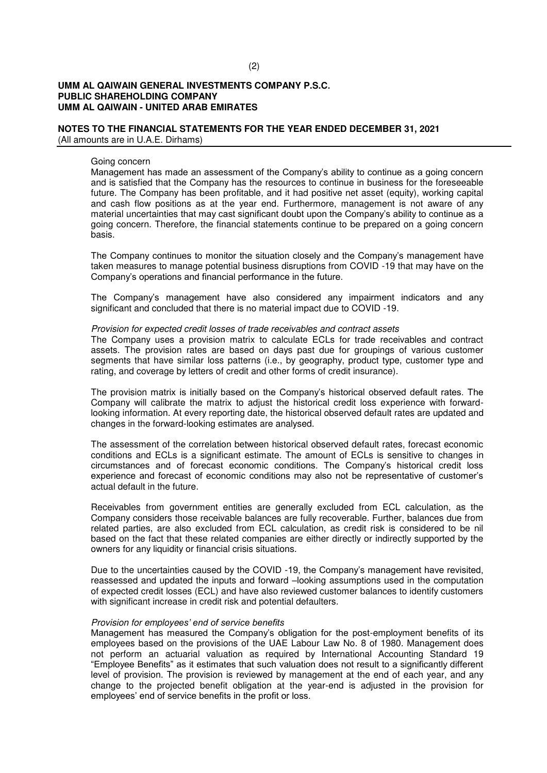## **NOTES TO THE FINANCIAL STATEMENTS FOR THE YEAR ENDED DECEMBER 31, 2021**

(All amounts are in U.A.E. Dirhams)

#### Going concern

Management has made an assessment of the Company's ability to continue as a going concern and is satisfied that the Company has the resources to continue in business for the foreseeable future. The Company has been profitable, and it had positive net asset (equity), working capital and cash flow positions as at the year end. Furthermore, management is not aware of any material uncertainties that may cast significant doubt upon the Company's ability to continue as a going concern. Therefore, the financial statements continue to be prepared on a going concern basis.

The Company continues to monitor the situation closely and the Company's management have taken measures to manage potential business disruptions from COVID -19 that may have on the Company's operations and financial performance in the future.

The Company's management have also considered any impairment indicators and any significant and concluded that there is no material impact due to COVID -19.

#### Provision for expected credit losses of trade receivables and contract assets

The Company uses a provision matrix to calculate ECLs for trade receivables and contract assets. The provision rates are based on days past due for groupings of various customer segments that have similar loss patterns (i.e., by geography, product type, customer type and rating, and coverage by letters of credit and other forms of credit insurance).

The provision matrix is initially based on the Company's historical observed default rates. The Company will calibrate the matrix to adjust the historical credit loss experience with forwardlooking information. At every reporting date, the historical observed default rates are updated and changes in the forward-looking estimates are analysed.

The assessment of the correlation between historical observed default rates, forecast economic conditions and ECLs is a significant estimate. The amount of ECLs is sensitive to changes in circumstances and of forecast economic conditions. The Company's historical credit loss experience and forecast of economic conditions may also not be representative of customer's actual default in the future.

Receivables from government entities are generally excluded from ECL calculation, as the Company considers those receivable balances are fully recoverable. Further, balances due from related parties, are also excluded from ECL calculation, as credit risk is considered to be nil based on the fact that these related companies are either directly or indirectly supported by the owners for any liquidity or financial crisis situations.

Due to the uncertainties caused by the COVID -19, the Company's management have revisited, reassessed and updated the inputs and forward –looking assumptions used in the computation of expected credit losses (ECL) and have also reviewed customer balances to identify customers with significant increase in credit risk and potential defaulters.

#### Provision for employe*es' end of service benefits*

Management has measured the Company's obligation for the post-employment benefits of its employees based on the provisions of the UAE Labour Law No. 8 of 1980. Management does not perform an actuarial valuation as required by International Accounting Standard 19 "Employee Benefits" as it estimates that such valuation does not result to a significantly different level of provision. The provision is reviewed by management at the end of each year, and any change to the projected benefit obligation at the year-end is adjusted in the provision for employees' end of service benefits in the profit or loss.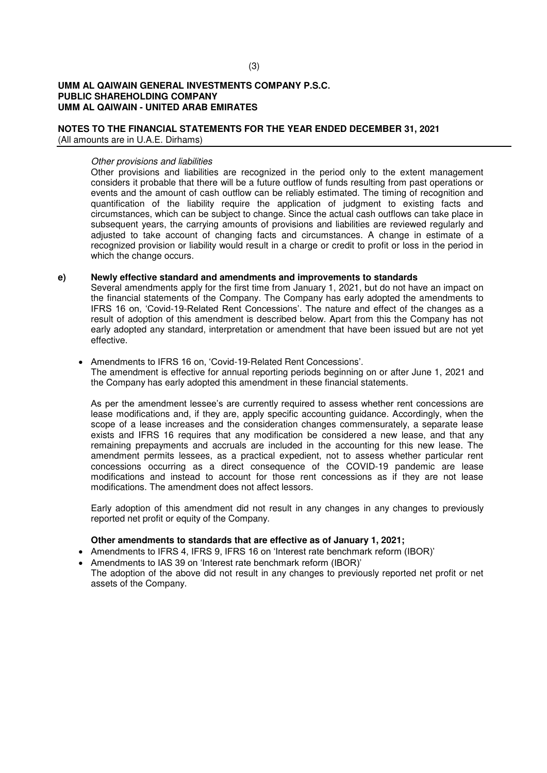## **NOTES TO THE FINANCIAL STATEMENTS FOR THE YEAR ENDED DECEMBER 31, 2021**

(All amounts are in U.A.E. Dirhams)

## Other provisions and liabilities

Other provisions and liabilities are recognized in the period only to the extent management considers it probable that there will be a future outflow of funds resulting from past operations or events and the amount of cash outflow can be reliably estimated. The timing of recognition and quantification of the liability require the application of judgment to existing facts and circumstances, which can be subject to change. Since the actual cash outflows can take place in subsequent years, the carrying amounts of provisions and liabilities are reviewed regularly and adjusted to take account of changing facts and circumstances. A change in estimate of a recognized provision or liability would result in a charge or credit to profit or loss in the period in which the change occurs.

## **e) Newly effective standard and amendments and improvements to standards**

Several amendments apply for the first time from January 1, 2021, but do not have an impact on the financial statements of the Company. The Company has early adopted the amendments to IFRS 16 on, 'Covid-19-Related Rent Concessions'. The nature and effect of the changes as a result of adoption of this amendment is described below. Apart from this the Company has not early adopted any standard, interpretation or amendment that have been issued but are not yet effective.

#### Amendments to IFRS 16 on, 'Covid-19-Related Rent Concessions'.

The amendment is effective for annual reporting periods beginning on or after June 1, 2021 and the Company has early adopted this amendment in these financial statements.

As per the amendment lessee's are currently required to assess whether rent concessions are lease modifications and, if they are, apply specific accounting guidance. Accordingly, when the scope of a lease increases and the consideration changes commensurately, a separate lease exists and IFRS 16 requires that any modification be considered a new lease, and that any remaining prepayments and accruals are included in the accounting for this new lease. The amendment permits lessees, as a practical expedient, not to assess whether particular rent concessions occurring as a direct consequence of the COVID-19 pandemic are lease modifications and instead to account for those rent concessions as if they are not lease modifications. The amendment does not affect lessors.

Early adoption of this amendment did not result in any changes in any changes to previously reported net profit or equity of the Company.

#### **Other amendments to standards that are effective as of January 1, 2021;**

- Amendments to IFRS 4, IFRS 9, IFRS 16 on 'Interest rate benchmark reform (IBOR)'
- Amendments to IAS 39 on 'Interest rate benchmark reform (IBOR)'
- The adoption of the above did not result in any changes to previously reported net profit or net assets of the Company.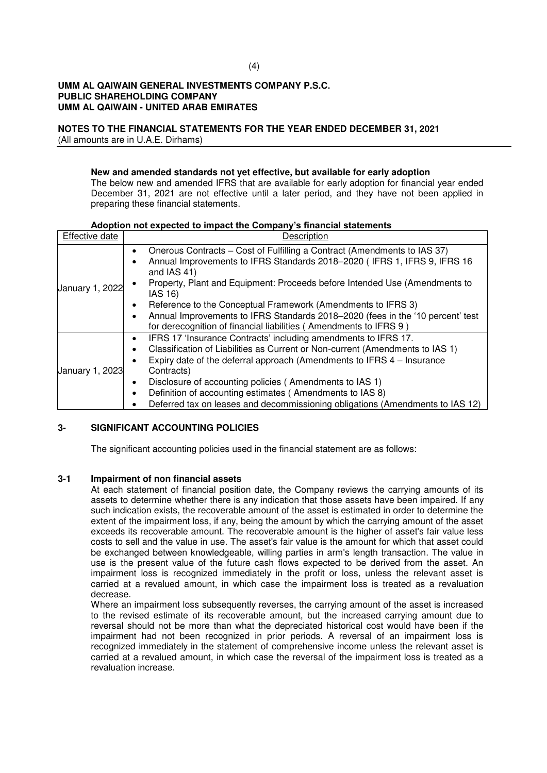# **NOTES TO THE FINANCIAL STATEMENTS FOR THE YEAR ENDED DECEMBER 31, 2021**

(All amounts are in U.A.E. Dirhams)

## **New and amended standards not yet effective, but available for early adoption**

The below new and amended IFRS that are available for early adoption for financial year ended December 31, 2021 are not effective until a later period, and they have not been applied in preparing these financial statements.

## **Adoption not expected to impact the Company's financial statements**

| Effective date  | Description                                                                                                                                                                                                                                                                                                                                                                                                                                                       |
|-----------------|-------------------------------------------------------------------------------------------------------------------------------------------------------------------------------------------------------------------------------------------------------------------------------------------------------------------------------------------------------------------------------------------------------------------------------------------------------------------|
| January 1, 2022 | Onerous Contracts – Cost of Fulfilling a Contract (Amendments to IAS 37)<br>$\bullet$<br>Annual Improvements to IFRS Standards 2018-2020 (IFRS 1, IFRS 9, IFRS 16<br>$\bullet$<br>and IAS 41)<br>Property, Plant and Equipment: Proceeds before Intended Use (Amendments to<br>IAS 16)                                                                                                                                                                            |
|                 | Reference to the Conceptual Framework (Amendments to IFRS 3)<br>Annual Improvements to IFRS Standards 2018-2020 (fees in the '10 percent' test<br>$\bullet$<br>for derecognition of financial liabilities (Amendments to IFRS 9)                                                                                                                                                                                                                                  |
| January 1, 2023 | IFRS 17 'Insurance Contracts' including amendments to IFRS 17.<br>$\bullet$<br>Classification of Liabilities as Current or Non-current (Amendments to IAS 1)<br>٠<br>Expiry date of the deferral approach (Amendments to IFRS 4 - Insurance<br>Contracts)<br>Disclosure of accounting policies (Amendments to IAS 1)<br>Definition of accounting estimates (Amendments to IAS 8)<br>Deferred tax on leases and decommissioning obligations (Amendments to IAS 12) |

## **3- SIGNIFICANT ACCOUNTING POLICIES**

The significant accounting policies used in the financial statement are as follows:

## **3-1 Impairment of non financial assets**

At each statement of financial position date, the Company reviews the carrying amounts of its assets to determine whether there is any indication that those assets have been impaired. If any such indication exists, the recoverable amount of the asset is estimated in order to determine the extent of the impairment loss, if any, being the amount by which the carrying amount of the asset exceeds its recoverable amount. The recoverable amount is the higher of asset's fair value less costs to sell and the value in use. The asset's fair value is the amount for which that asset could be exchanged between knowledgeable, willing parties in arm's length transaction. The value in use is the present value of the future cash flows expected to be derived from the asset. An impairment loss is recognized immediately in the profit or loss, unless the relevant asset is carried at a revalued amount, in which case the impairment loss is treated as a revaluation decrease.

Where an impairment loss subsequently reverses, the carrying amount of the asset is increased to the revised estimate of its recoverable amount, but the increased carrying amount due to reversal should not be more than what the depreciated historical cost would have been if the impairment had not been recognized in prior periods. A reversal of an impairment loss is recognized immediately in the statement of comprehensive income unless the relevant asset is carried at a revalued amount, in which case the reversal of the impairment loss is treated as a revaluation increase.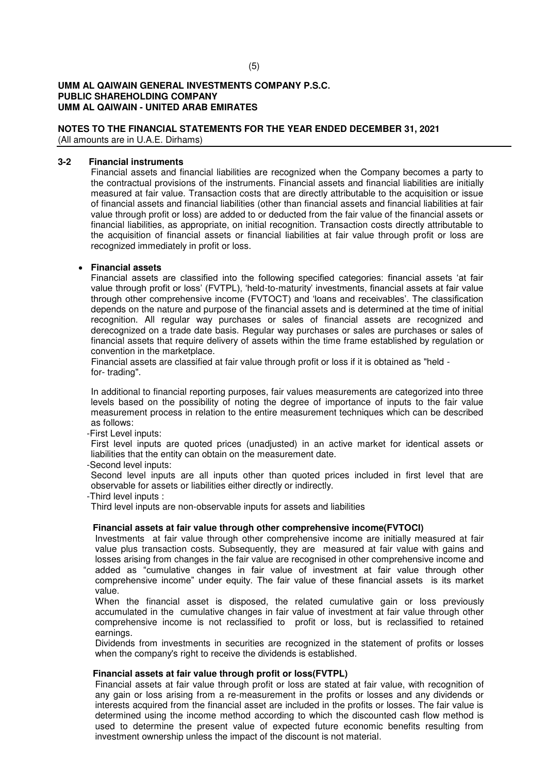## **NOTES TO THE FINANCIAL STATEMENTS FOR THE YEAR ENDED DECEMBER 31, 2021**

(All amounts are in U.A.E. Dirhams)

## **3-2 Financial instruments**

Financial assets and financial liabilities are recognized when the Company becomes a party to the contractual provisions of the instruments. Financial assets and financial liabilities are initially measured at fair value. Transaction costs that are directly attributable to the acquisition or issue of financial assets and financial liabilities (other than financial assets and financial liabilities at fair value through profit or loss) are added to or deducted from the fair value of the financial assets or financial liabilities, as appropriate, on initial recognition. Transaction costs directly attributable to the acquisition of financial assets or financial liabilities at fair value through profit or loss are recognized immediately in profit or loss.

## **Financial assets**

Financial assets are classified into the following specified categories: financial assets 'at fair value through profit or loss' (FVTPL), 'held-to-maturity' investments, financial assets at fair value through other comprehensive income (FVTOCT) and 'loans and receivables'. The classification depends on the nature and purpose of the financial assets and is determined at the time of initial recognition. All regular way purchases or sales of financial assets are recognized and derecognized on a trade date basis. Regular way purchases or sales are purchases or sales of financial assets that require delivery of assets within the time frame established by regulation or convention in the marketplace.

Financial assets are classified at fair value through profit or loss if it is obtained as "held for- trading".

In additional to financial reporting purposes, fair values measurements are categorized into three levels based on the possibility of noting the degree of importance of inputs to the fair value measurement process in relation to the entire measurement techniques which can be described as follows:

-First Level inputs:

First level inputs are quoted prices (unadjusted) in an active market for identical assets or liabilities that the entity can obtain on the measurement date.

-Second level inputs:

Second level inputs are all inputs other than quoted prices included in first level that are observable for assets or liabilities either directly or indirectly.

-Third level inputs :

Third level inputs are non-observable inputs for assets and liabilities

## **Financial assets at fair value through other comprehensive income(FVTOCI)**

Investments at fair value through other comprehensive income are initially measured at fair value plus transaction costs. Subsequently, they are measured at fair value with gains and losses arising from changes in the fair value are recognised in other comprehensive income and added as "cumulative changes in fair value of investment at fair value through other comprehensive income" under equity. The fair value of these financial assets is its market value.

When the financial asset is disposed, the related cumulative gain or loss previously accumulated in the cumulative changes in fair value of investment at fair value through other comprehensive income is not reclassified to profit or loss, but is reclassified to retained earnings.

Dividends from investments in securities are recognized in the statement of profits or losses when the company's right to receive the dividends is established.

#### **Financial assets at fair value through profit or loss(FVTPL)**

Financial assets at fair value through profit or loss are stated at fair value, with recognition of any gain or loss arising from a re-measurement in the profits or losses and any dividends or interests acquired from the financial asset are included in the profits or losses. The fair value is determined using the income method according to which the discounted cash flow method is used to determine the present value of expected future economic benefits resulting from investment ownership unless the impact of the discount is not material.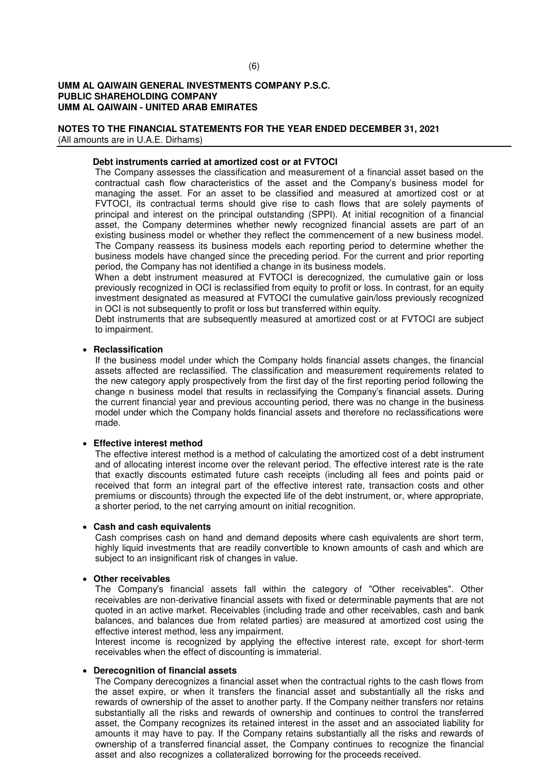## **NOTES TO THE FINANCIAL STATEMENTS FOR THE YEAR ENDED DECEMBER 31, 2021**

(All amounts are in U.A.E. Dirhams)

#### **Debt instruments carried at amortized cost or at FVTOCI**

The Company assesses the classification and measurement of a financial asset based on the contractual cash flow characteristics of the asset and the Company's business model for managing the asset. For an asset to be classified and measured at amortized cost or at FVTOCI, its contractual terms should give rise to cash flows that are solely payments of principal and interest on the principal outstanding (SPPI). At initial recognition of a financial asset, the Company determines whether newly recognized financial assets are part of an existing business model or whether they reflect the commencement of a new business model. The Company reassess its business models each reporting period to determine whether the business models have changed since the preceding period. For the current and prior reporting period, the Company has not identified a change in its business models.

When a debt instrument measured at FVTOCI is derecognized, the cumulative gain or loss previously recognized in OCI is reclassified from equity to profit or loss. In contrast, for an equity investment designated as measured at FVTOCI the cumulative gain/loss previously recognized in OCI is not subsequently to profit or loss but transferred within equity.

Debt instruments that are subsequently measured at amortized cost or at FVTOCI are subject to impairment.

#### **Reclassification**

If the business model under which the Company holds financial assets changes, the financial assets affected are reclassified. The classification and measurement requirements related to the new category apply prospectively from the first day of the first reporting period following the change n business model that results in reclassifying the Company's financial assets. During the current financial year and previous accounting period, there was no change in the business model under which the Company holds financial assets and therefore no reclassifications were made.

#### **Effective interest method**

The effective interest method is a method of calculating the amortized cost of a debt instrument and of allocating interest income over the relevant period. The effective interest rate is the rate that exactly discounts estimated future cash receipts (including all fees and points paid or received that form an integral part of the effective interest rate, transaction costs and other premiums or discounts) through the expected life of the debt instrument, or, where appropriate, a shorter period, to the net carrying amount on initial recognition.

### **Cash and cash equivalents**

Cash comprises cash on hand and demand deposits where cash equivalents are short term, highly liquid investments that are readily convertible to known amounts of cash and which are subject to an insignificant risk of changes in value.

#### **Other receivables**

The Company's financial assets fall within the category of "Other receivables". Other receivables are non-derivative financial assets with fixed or determinable payments that are not quoted in an active market. Receivables (including trade and other receivables, cash and bank balances, and balances due from related parties) are measured at amortized cost using the effective interest method, less any impairment.

Interest income is recognized by applying the effective interest rate, except for short-term receivables when the effect of discounting is immaterial.

#### **Derecognition of financial assets**

The Company derecognizes a financial asset when the contractual rights to the cash flows from the asset expire, or when it transfers the financial asset and substantially all the risks and rewards of ownership of the asset to another party. If the Company neither transfers nor retains substantially all the risks and rewards of ownership and continues to control the transferred asset, the Company recognizes its retained interest in the asset and an associated liability for amounts it may have to pay. If the Company retains substantially all the risks and rewards of ownership of a transferred financial asset, the Company continues to recognize the financial asset and also recognizes a collateralized borrowing for the proceeds received.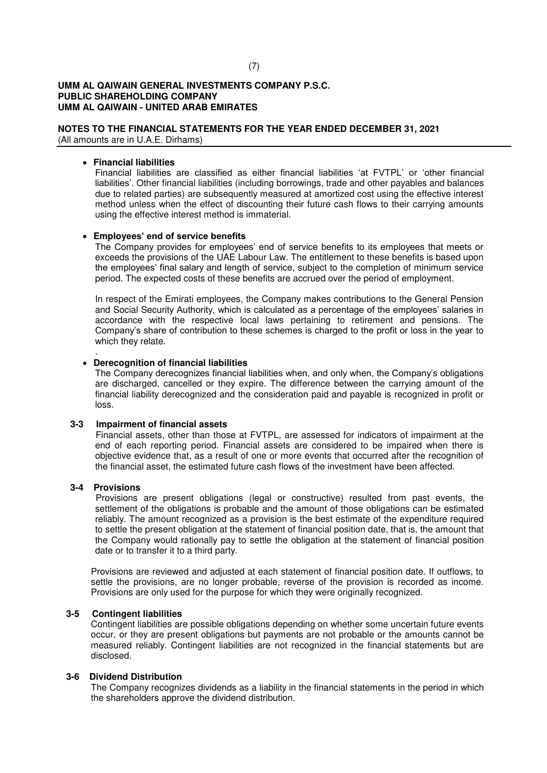## **NOTES TO THE FINANCIAL STATEMENTS FOR THE YEAR ENDED DECEMBER 31, 2021**

(All amounts are in U.A.E. Dirhams)

## **Financial liabilities**

Financial liabilities are classified as either financial liabilities 'at FVTPL' or 'other financial liabilities'. Other financial liabilities (including borrowings, trade and other payables and balances due to related parties) are subsequently measured at amortized cost using the effective interest method unless when the effect of discounting their future cash flows to their carrying amounts using the effective interest method is immaterial.

## **Employees' end of service benefits**

The Company provides for employees' end of service benefits to its employees that meets or exceeds the provisions of the UAE Labour Law. The entitlement to these benefits is based upon the employees' final salary and length of service, subject to the completion of minimum service period. The expected costs of these benefits are accrued over the period of employment.

In respect of the Emirati employees, the Company makes contributions to the General Pension and Social Security Authority, which is calculated as a percentage of the employees' salaries in accordance with the respective local laws pertaining to retirement and pensions. The Company's share of contribution to these schemes is charged to the profit or loss in the year to which they relate.

#### .  **Derecognition of financial liabilities**

The Company derecognizes financial liabilities when, and only when, the Company's obligations are discharged, cancelled or they expire. The difference between the carrying amount of the financial liability derecognized and the consideration paid and payable is recognized in profit or loss.

#### **3-3 Impairment of financial assets**

 Financial assets, other than those at FVTPL, are assessed for indicators of impairment at the end of each reporting period. Financial assets are considered to be impaired when there is objective evidence that, as a result of one or more events that occurred after the recognition of the financial asset, the estimated future cash flows of the investment have been affected.

#### **3-4 Provisions**

 Provisions are present obligations (legal or constructive) resulted from past events, the settlement of the obligations is probable and the amount of those obligations can be estimated reliably. The amount recognized as a provision is the best estimate of the expenditure required to settle the present obligation at the statement of financial position date, that is, the amount that the Company would rationally pay to settle the obligation at the statement of financial position date or to transfer it to a third party.

Provisions are reviewed and adjusted at each statement of financial position date. If outflows, to settle the provisions, are no longer probable, reverse of the provision is recorded as income. Provisions are only used for the purpose for which they were originally recognized.

## **3-5 Contingent liabilities**

Contingent liabilities are possible obligations depending on whether some uncertain future events occur, or they are present obligations but payments are not probable or the amounts cannot be measured reliably. Contingent liabilities are not recognized in the financial statements but are disclosed.

#### **3-6 Dividend Distribution**

The Company recognizes dividends as a liability in the financial statements in the period in which the shareholders approve the dividend distribution.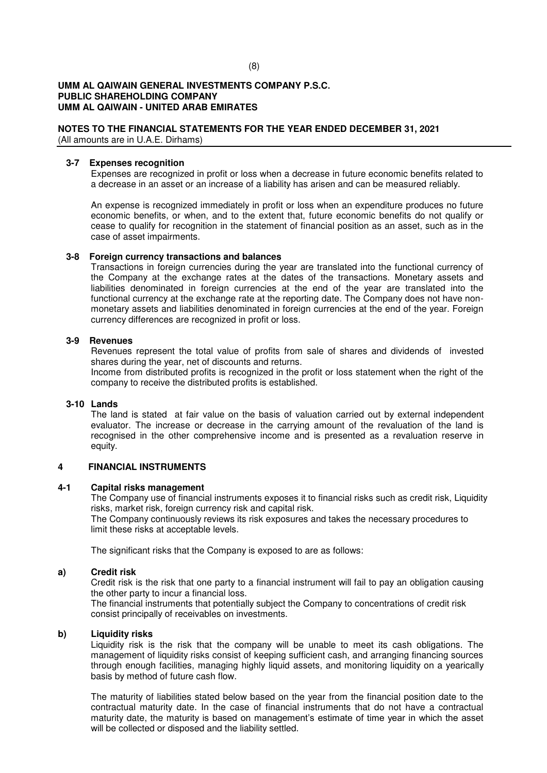## **NOTES TO THE FINANCIAL STATEMENTS FOR THE YEAR ENDED DECEMBER 31, 2021**

(All amounts are in U.A.E. Dirhams)

### **3-7 Expenses recognition**

Expenses are recognized in profit or loss when a decrease in future economic benefits related to a decrease in an asset or an increase of a liability has arisen and can be measured reliably.

An expense is recognized immediately in profit or loss when an expenditure produces no future economic benefits, or when, and to the extent that, future economic benefits do not qualify or cease to qualify for recognition in the statement of financial position as an asset, such as in the case of asset impairments.

## **3-8 Foreign currency transactions and balances**

Transactions in foreign currencies during the year are translated into the functional currency of the Company at the exchange rates at the dates of the transactions. Monetary assets and liabilities denominated in foreign currencies at the end of the year are translated into the functional currency at the exchange rate at the reporting date. The Company does not have nonmonetary assets and liabilities denominated in foreign currencies at the end of the year. Foreign currency differences are recognized in profit or loss.

## **3-9 Revenues**

Revenues represent the total value of profits from sale of shares and dividends of invested shares during the year, net of discounts and returns.

Income from distributed profits is recognized in the profit or loss statement when the right of the company to receive the distributed profits is established.

#### **3-10 Lands**

The land is stated at fair value on the basis of valuation carried out by external independent evaluator. The increase or decrease in the carrying amount of the revaluation of the land is recognised in the other comprehensive income and is presented as a revaluation reserve in equity.

## **4 FINANCIAL INSTRUMENTS**

### **4-1 Capital risks management**

The Company use of financial instruments exposes it to financial risks such as credit risk, Liquidity risks, market risk, foreign currency risk and capital risk.

The Company continuously reviews its risk exposures and takes the necessary procedures to limit these risks at acceptable levels.

The significant risks that the Company is exposed to are as follows:

## **a) Credit risk**

 Credit risk is the risk that one party to a financial instrument will fail to pay an obligation causing the other party to incur a financial loss.

The financial instruments that potentially subject the Company to concentrations of credit risk consist principally of receivables on investments.

#### **b) Liquidity risks**

Liquidity risk is the risk that the company will be unable to meet its cash obligations. The management of liquidity risks consist of keeping sufficient cash, and arranging financing sources through enough facilities, managing highly liquid assets, and monitoring liquidity on a yearically basis by method of future cash flow.

The maturity of liabilities stated below based on the year from the financial position date to the contractual maturity date. In the case of financial instruments that do not have a contractual maturity date, the maturity is based on management's estimate of time year in which the asset will be collected or disposed and the liability settled.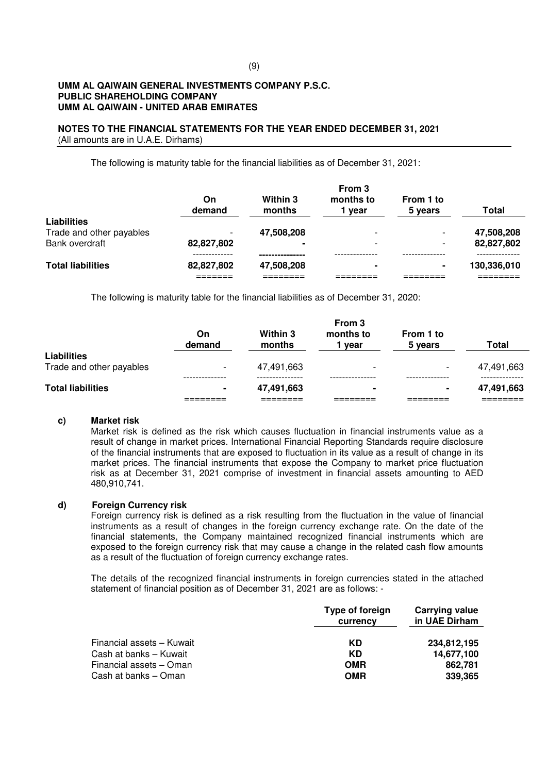#### **NOTES TO THE FINANCIAL STATEMENTS FOR THE YEAR ENDED DECEMBER 31, 2021** (All amounts are in U.A.E. Dirhams)

The following is maturity table for the financial liabilities as of December 31, 2021:

|                          | On<br>demand | Within 3<br>months | From 3<br>months to<br>vear | From 1 to<br>5 years | Total       |
|--------------------------|--------------|--------------------|-----------------------------|----------------------|-------------|
| <b>Liabilities</b>       |              |                    |                             |                      |             |
| Trade and other payables |              | 47,508,208         |                             |                      | 47,508,208  |
| Bank overdraft           | 82,827,802   |                    | $\overline{\phantom{0}}$    |                      | 82,827,802  |
|                          |              |                    |                             |                      |             |
| <b>Total liabilities</b> | 82,827,802   | 47,508,208         | -                           | ۰                    | 130,336,010 |
|                          |              |                    |                             |                      |             |

The following is maturity table for the financial liabilities as of December 31, 2020:

| <b>Total liabilities</b>                       |                          | 47,491,663         | ۰                           | $\blacksquare$           | 47,491,663   |
|------------------------------------------------|--------------------------|--------------------|-----------------------------|--------------------------|--------------|
| <b>Liabilities</b><br>Trade and other payables | $\overline{\phantom{0}}$ | 47.491.663         | $\overline{\phantom{0}}$    | $\overline{\phantom{a}}$ | 47,491,663   |
|                                                | On<br>demand             | Within 3<br>months | From 3<br>months to<br>vear | From 1 to<br>5 years     | <b>Total</b> |

#### **c) Market risk**

Market risk is defined as the risk which causes fluctuation in financial instruments value as a result of change in market prices. International Financial Reporting Standards require disclosure of the financial instruments that are exposed to fluctuation in its value as a result of change in its market prices. The financial instruments that expose the Company to market price fluctuation risk as at December 31, 2021 comprise of investment in financial assets amounting to AED 480,910,741.

#### **d) Foreign Currency risk**

Foreign currency risk is defined as a risk resulting from the fluctuation in the value of financial instruments as a result of changes in the foreign currency exchange rate. On the date of the financial statements, the Company maintained recognized financial instruments which are exposed to the foreign currency risk that may cause a change in the related cash flow amounts as a result of the fluctuation of foreign currency exchange rates.

The details of the recognized financial instruments in foreign currencies stated in the attached statement of financial position as of December 31, 2021 are as follows: -

|                           | Type of foreign<br>currency | Carrying value<br>in UAE Dirham |
|---------------------------|-----------------------------|---------------------------------|
| Financial assets - Kuwait | KD                          | 234,812,195                     |
| Cash at banks - Kuwait    | KD                          | 14,677,100                      |
| Financial assets - Oman   | <b>OMR</b>                  | 862.781                         |
| Cash at banks - Oman      | <b>OMR</b>                  | 339,365                         |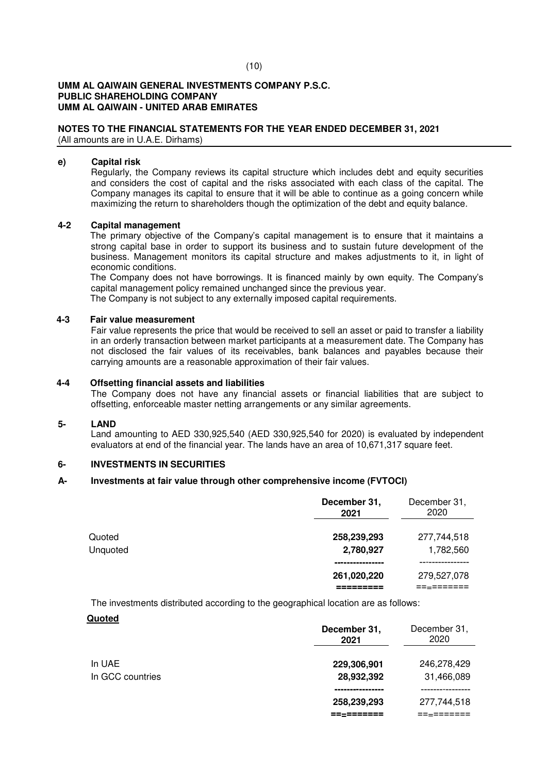## **NOTES TO THE FINANCIAL STATEMENTS FOR THE YEAR ENDED DECEMBER 31, 2021**

(All amounts are in U.A.E. Dirhams)

### **e) Capital risk**

Regularly, the Company reviews its capital structure which includes debt and equity securities and considers the cost of capital and the risks associated with each class of the capital. The Company manages its capital to ensure that it will be able to continue as a going concern while maximizing the return to shareholders though the optimization of the debt and equity balance.

## **4-2 Capital management**

 The primary objective of the Company's capital management is to ensure that it maintains a strong capital base in order to support its business and to sustain future development of the business. Management monitors its capital structure and makes adjustments to it, in light of economic conditions.

 The Company does not have borrowings. It is financed mainly by own equity. The Company's capital management policy remained unchanged since the previous year.

The Company is not subject to any externally imposed capital requirements.

### **4-3 Fair value measurement**

Fair value represents the price that would be received to sell an asset or paid to transfer a liability in an orderly transaction between market participants at a measurement date. The Company has not disclosed the fair values of its receivables, bank balances and payables because their carrying amounts are a reasonable approximation of their fair values.

### **4-4 Offsetting financial assets and liabilities**

The Company does not have any financial assets or financial liabilities that are subject to offsetting, enforceable master netting arrangements or any similar agreements.

#### **5- LAND**

Land amounting to AED 330,925,540 (AED 330,925,540 for 2020) is evaluated by independent evaluators at end of the financial year. The lands have an area of 10,671,317 square feet.

## **6- INVESTMENTS IN SECURITIES**

## **A- Investments at fair value through other comprehensive income (FVTOCI)**

|          | December 31,<br>2021 | December 31,<br>2020 |
|----------|----------------------|----------------------|
| Quoted   | 258,239,293          | 277,744,518          |
| Unquoted | 2,780,927            | 1,782,560            |
|          |                      |                      |
|          | 261,020,220          | 279,527,078          |
|          |                      |                      |

The investments distributed according to the geographical location are as follows:

**Quoted** 

|                            | December 31,<br>2021 | December 31,<br>2020      |
|----------------------------|----------------------|---------------------------|
| In UAE<br>In GCC countries | 229,306,901          | 246,278,429<br>31,466,089 |
|                            | 28,932,392           |                           |
|                            | 258,239,293          | 277,744,518               |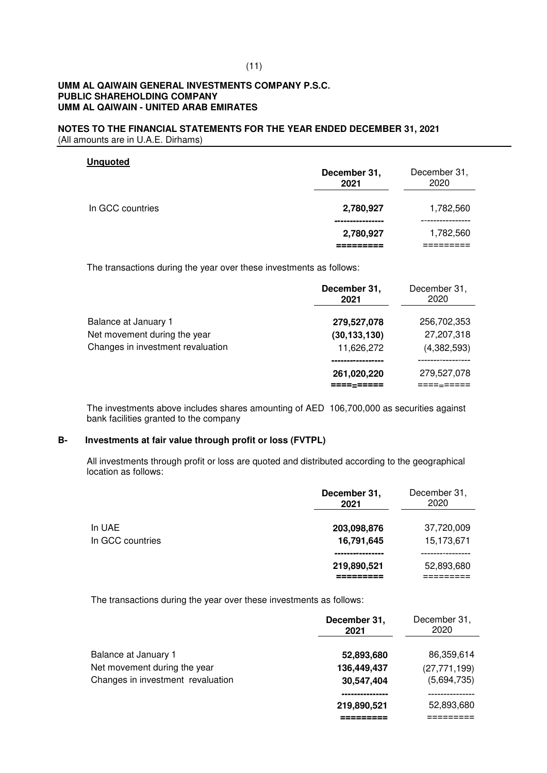#### **NOTES TO THE FINANCIAL STATEMENTS FOR THE YEAR ENDED DECEMBER 31, 2021** (All amounts are in U.A.E. Dirhams)

| <b>Unquoted</b>  | December 31,<br>2021 | December 31,<br>2020 |
|------------------|----------------------|----------------------|
| In GCC countries | 2,780,927<br>.       | 1,782,560            |
|                  | 2,780,927            | 1,782,560            |

The transactions during the year over these investments as follows:

|                                   | December 31,<br>2021    | December 31,<br>2020 |
|-----------------------------------|-------------------------|----------------------|
| Balance at January 1              | 279,527,078             | 256,702,353          |
| Net movement during the year      | (30, 133, 130)          | 27,207,318           |
| Changes in investment revaluation | 11,626,272              | (4,382,593)          |
|                                   |                         |                      |
|                                   | 261,020,220<br>===-==== | 279,527,078          |

The investments above includes shares amounting of AED 106,700,000 as securities against bank facilities granted to the company

## **B- Investments at fair value through profit or loss (FVTPL)**

All investments through profit or loss are quoted and distributed according to the geographical location as follows:

|                            | December 31,<br>2021      | December 31,<br>2020     |
|----------------------------|---------------------------|--------------------------|
| In UAE<br>In GCC countries | 203,098,876<br>16,791,645 | 37,720,009<br>15,173,671 |
|                            | 219,890,521               | 52,893,680               |

The transactions during the year over these investments as follows:

|                                   | December 31,<br>2021 | December 31,<br>2020 |
|-----------------------------------|----------------------|----------------------|
| Balance at January 1              | 52,893,680           | 86,359,614           |
| Net movement during the year      | 136,449,437          | (27, 771, 199)       |
| Changes in investment revaluation | 30,547,404           | (5,694,735)          |
|                                   |                      |                      |
|                                   | 219,890,521          | 52,893,680           |
|                                   |                      |                      |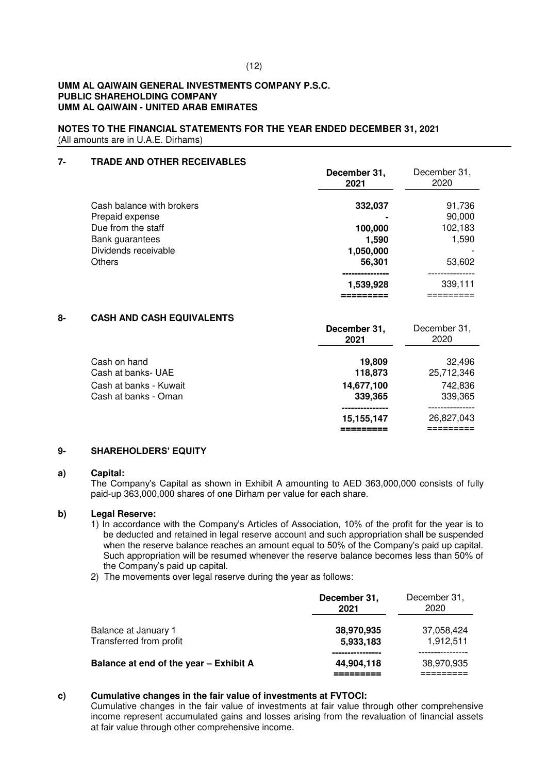### **NOTES TO THE FINANCIAL STATEMENTS FOR THE YEAR ENDED DECEMBER 31, 2021** (All amounts are in U.A.E. Dirhams)

## **7- TRADE AND OTHER RECEIVABLES**

|                           | December 31,<br>2021 | December 31,<br>2020 |
|---------------------------|----------------------|----------------------|
| Cash balance with brokers | 332,037              | 91,736               |
| Prepaid expense           |                      | 90,000               |
| Due from the staff        | 100,000              | 102,183              |
| Bank guarantees           | 1,590                | 1,590                |
| Dividends receivable      | 1,050,000            |                      |
| <b>Others</b>             | 56,301               | 53,602               |
|                           |                      |                      |
|                           | 1,539,928            | 339,111              |
|                           |                      |                      |

## **8- CASH AND CASH EQUIVALENTS**

|                                    | December 31,<br>2021  | December 31,<br>2020 |
|------------------------------------|-----------------------|----------------------|
| Cash on hand<br>Cash at banks- UAE | 19,809                | 32.496<br>25,712,346 |
| Cash at banks - Kuwait             | 118,873<br>14,677,100 | 742,836              |
| Cash at banks - Oman               | 339,365               | 339,365              |
|                                    | 15,155,147            | 26,827,043           |

#### **9- SHAREHOLDERS' EQUITY**

#### **a) Capital:**

The Company's Capital as shown in Exhibit A amounting to AED 363,000,000 consists of fully paid-up 363,000,000 shares of one Dirham per value for each share.

#### **b) Legal Reserve:**

- 1) In accordance with the Company's Articles of Association, 10% of the profit for the year is to be deducted and retained in legal reserve account and such appropriation shall be suspended when the reserve balance reaches an amount equal to 50% of the Company's paid up capital. Such appropriation will be resumed whenever the reserve balance becomes less than 50% of the Company's paid up capital.
- 2) The movements over legal reserve during the year as follows:

|                                                 | December 31,<br>2021    | December 31,<br>2020    |
|-------------------------------------------------|-------------------------|-------------------------|
| Balance at January 1<br>Transferred from profit | 38,970,935<br>5,933,183 | 37,058,424<br>1,912,511 |
| Balance at end of the year - Exhibit A          | 44,904,118              | 38,970,935              |

#### **c) Cumulative changes in the fair value of investments at FVTOCI:**

Cumulative changes in the fair value of investments at fair value through other comprehensive income represent accumulated gains and losses arising from the revaluation of financial assets at fair value through other comprehensive income.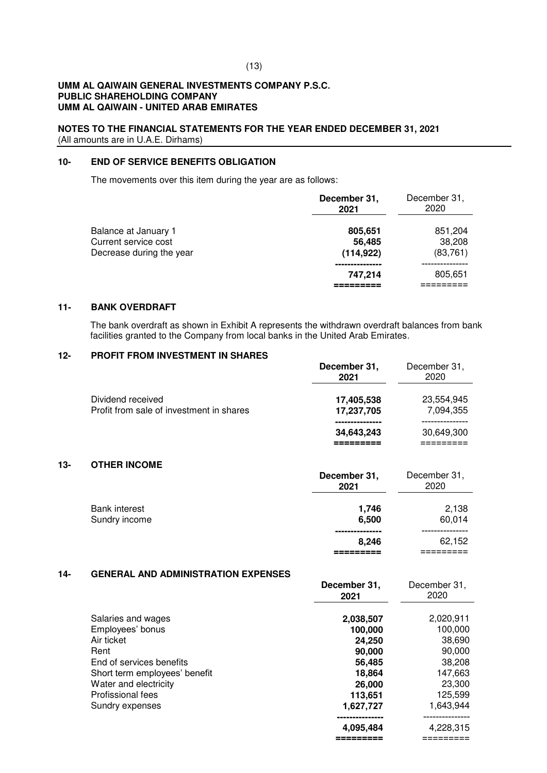#### **NOTES TO THE FINANCIAL STATEMENTS FOR THE YEAR ENDED DECEMBER 31, 2021** (All amounts are in U.A.E. Dirhams)

## **10- END OF SERVICE BENEFITS OBLIGATION**

The movements over this item during the year are as follows:

|                                                                          | December 31,<br>2021            | December 31,<br>2020           |
|--------------------------------------------------------------------------|---------------------------------|--------------------------------|
| Balance at January 1<br>Current service cost<br>Decrease during the year | 805,651<br>56,485<br>(114, 922) | 851,204<br>38,208<br>(83, 761) |
|                                                                          | 747.214                         | 805,651                        |

#### **11- BANK OVERDRAFT**

The bank overdraft as shown in Exhibit A represents the withdrawn overdraft balances from bank facilities granted to the Company from local banks in the United Arab Emirates.

## **12- PROFIT FROM INVESTMENT IN SHARES**

|                                                               | December 31,<br>2021     | December 31,<br>2020    |
|---------------------------------------------------------------|--------------------------|-------------------------|
| Dividend received<br>Profit from sale of investment in shares | 17,405,538<br>17,237,705 | 23,554,945<br>7,094,355 |
|                                                               | 34,643,243               | 30,649,300              |

#### **13- OTHER INCOME**

|                                       | December 31,<br>2021 | December 31,<br>2020 |
|---------------------------------------|----------------------|----------------------|
| <b>Bank interest</b><br>Sundry income | 1,746<br>6,500       | 2,138<br>60,014      |
|                                       | 8,246                | 62,152               |
|                                       |                      |                      |

### **14- GENERAL AND ADMINISTRATION EXPENSES**

|                               | December 31,<br>2021 | December 31,<br>2020 |
|-------------------------------|----------------------|----------------------|
| Salaries and wages            | 2,038,507            | 2,020,911            |
| Employees' bonus              | 100,000              | 100,000              |
| Air ticket                    | 24,250               | 38,690               |
| Rent                          | 90,000               | 90,000               |
| End of services benefits      | 56,485               | 38,208               |
| Short term employees' benefit | 18.864               | 147,663              |
| Water and electricity         | 26,000               | 23,300               |
| Profissional fees             | 113,651              | 125,599              |
| Sundry expenses               | 1,627,727            | 1,643,944            |
|                               |                      |                      |
|                               | 4,095,484            | 4,228,315            |
|                               |                      |                      |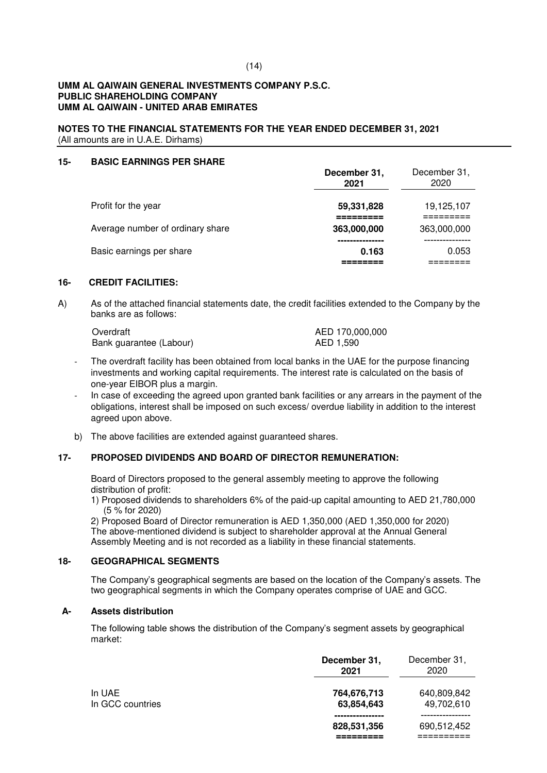**NOTES TO THE FINANCIAL STATEMENTS FOR THE YEAR ENDED DECEMBER 31, 2021** (All amounts are in U.A.E. Dirhams)

#### **15- BASIC EARNINGS PER SHARE**

|                                  | December 31,<br>2021 | December 31,<br>2020 |
|----------------------------------|----------------------|----------------------|
| Profit for the year              | 59,331,828           | 19,125,107           |
| Average number of ordinary share | 363,000,000          | 363,000,000          |
| Basic earnings per share         | 0.163                | 0.053                |

## **16- CREDIT FACILITIES:**

A) As of the attached financial statements date, the credit facilities extended to the Company by the banks are as follows:

| Overdraft               | AED 170,000,000 |
|-------------------------|-----------------|
| Bank guarantee (Labour) | AED 1,590       |

- The overdraft facility has been obtained from local banks in the UAE for the purpose financing investments and working capital requirements. The interest rate is calculated on the basis of one-year EIBOR plus a margin.
- In case of exceeding the agreed upon granted bank facilities or any arrears in the payment of the obligations, interest shall be imposed on such excess/ overdue liability in addition to the interest agreed upon above.
- b) The above facilities are extended against guaranteed shares.

## **17- PROPOSED DIVIDENDS AND BOARD OF DIRECTOR REMUNERATION:**

Board of Directors proposed to the general assembly meeting to approve the following distribution of profit:

1) Proposed dividends to shareholders 6% of the paid-up capital amounting to AED 21,780,000 (5 % for 2020)

2) Proposed Board of Director remuneration is AED 1,350,000 (AED 1,350,000 for 2020) The above-mentioned dividend is subject to shareholder approval at the Annual General Assembly Meeting and is not recorded as a liability in these financial statements.

## **18- GEOGRAPHICAL SEGMENTS**

The Company's geographical segments are based on the location of the Company's assets. The two geographical segments in which the Company operates comprise of UAE and GCC.

#### **A- Assets distribution**

The following table shows the distribution of the Company's segment assets by geographical market:

|                            | December 31,<br>2021      | December 31,<br>2020      |
|----------------------------|---------------------------|---------------------------|
| In UAE<br>In GCC countries | 764,676,713<br>63,854,643 | 640,809,842<br>49,702,610 |
|                            | 828,531,356               | 690,512,452               |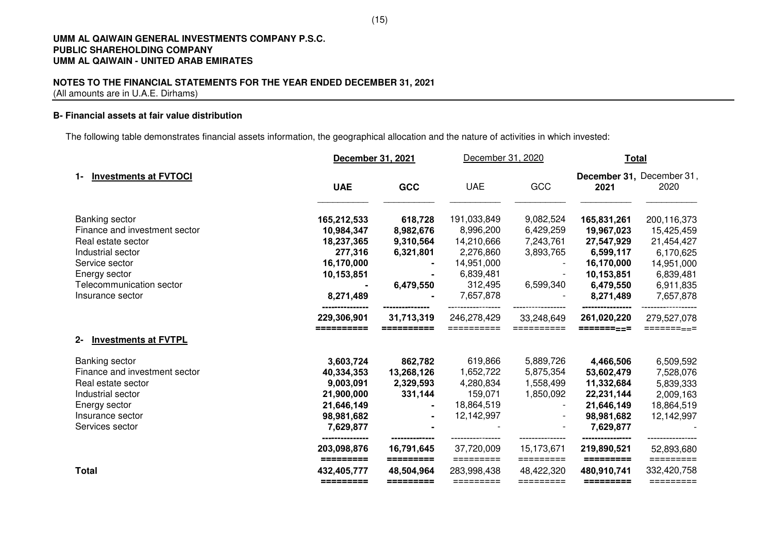### **NOTES TO THE FINANCIAL STATEMENTS FOR THE YEAR ENDED DECEMBER 31, 2021** (All amounts are in U.A.E. Dirhams)

## **B- Financial assets at fair value distribution**

The following table demonstrates financial assets information, the geographical allocation and the nature of activities in which invested:

|                                                                                                                                  |                                                                                | December 31, 2021                    |                                                               | December 31, 2020                    |                                                                                 | <b>Total</b>                                                    |  |
|----------------------------------------------------------------------------------------------------------------------------------|--------------------------------------------------------------------------------|--------------------------------------|---------------------------------------------------------------|--------------------------------------|---------------------------------------------------------------------------------|-----------------------------------------------------------------|--|
| <b>Investments at FVTOCI</b><br>1-                                                                                               | <b>UAE</b>                                                                     | GCC                                  | <b>UAE</b>                                                    | GCC                                  | 2021                                                                            | December 31, December 31,<br>2020                               |  |
| Banking sector<br>Finance and investment sector                                                                                  | 165,212,533<br>10,984,347                                                      | 618,728<br>8,982,676                 | 191,033,849<br>8,996,200                                      | 9,082,524<br>6,429,259               | 165,831,261<br>19,967,023                                                       | 200,116,373<br>15,425,459                                       |  |
| Real estate sector<br>Industrial sector<br>Service sector                                                                        | 18,237,365<br>277,316<br>16,170,000                                            | 9,310,564<br>6,321,801               | 14,210,666<br>2,276,860<br>14,951,000                         | 7,243,761<br>3,893,765               | 27,547,929<br>6,599,117<br>16,170,000                                           | 21,454,427<br>6,170,625<br>14,951,000                           |  |
| Energy sector<br>Telecommunication sector<br>Insurance sector                                                                    | 10,153,851<br>8,271,489                                                        | 6,479,550                            | 6,839,481<br>312,495<br>7,657,878                             | 6,599,340                            | 10,153,851<br>6,479,550<br>8,271,489                                            | 6,839,481<br>6,911,835<br>7,657,878                             |  |
| <b>Investments at FVTPL</b><br>$2 -$                                                                                             | 229,306,901<br>==========                                                      | 31,713,319                           | 246,278,429<br>==========                                     | 33,248,649<br>==========             | 261,020,220<br>=========                                                        | 279,527,078<br>======= <sub>==</sub> =                          |  |
| Banking sector                                                                                                                   | 3,603,724                                                                      | 862,782                              | 619,866                                                       | 5,889,726                            | 4,466,506                                                                       | 6,509,592                                                       |  |
| Finance and investment sector<br>Real estate sector<br>Industrial sector<br>Energy sector<br>Insurance sector<br>Services sector | 40,334,353<br>9,003,091<br>21,900,000<br>21,646,149<br>98,981,682<br>7,629,877 | 13,268,126<br>2,329,593<br>331,144   | 1,652,722<br>4,280,834<br>159,071<br>18,864,519<br>12,142,997 | 5,875,354<br>1,558,499<br>1,850,092  | 53,602,479<br>11,332,684<br>22,231,144<br>21,646,149<br>98,981,682<br>7,629,877 | 7,528,076<br>5,839,333<br>2,009,163<br>18,864,519<br>12,142,997 |  |
|                                                                                                                                  | ---------------<br>203,098,876                                                 | 16,791,645                           | 37,720,009                                                    | 15,173,671                           | 219,890,521                                                                     | 52,893,680                                                      |  |
| <b>Total</b>                                                                                                                     | =========<br>432,405,777<br>=========                                          | =========<br>48,504,964<br>========= | =========<br>283,998,438<br>=========                         | =========<br>48,422,320<br>========= | =========<br>480,910,741<br>=========                                           | =========<br>332,420,758<br>=========                           |  |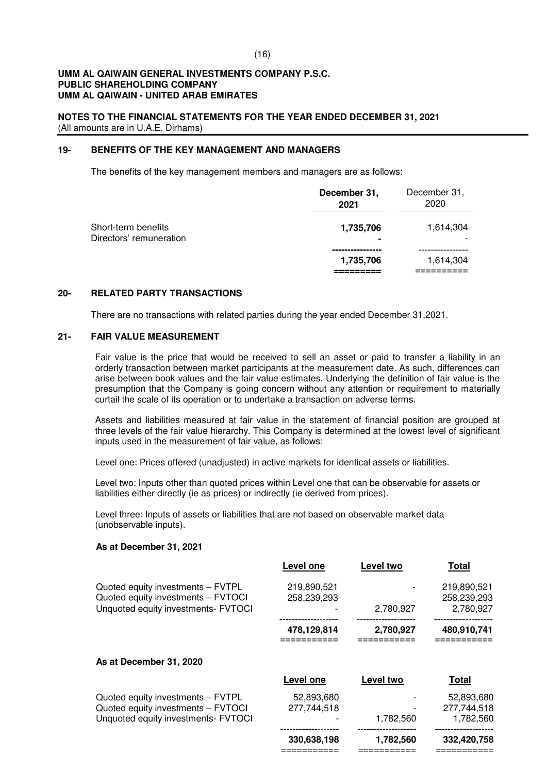## **NOTES TO THE FINANCIAL STATEMENTS FOR THE YEAR ENDED DECEMBER 31, 2021** (All amounts are in U.A.E. Dirhams)

## **19- BENEFITS OF THE KEY MANAGEMENT AND MANAGERS**

The benefits of the key management members and managers are as follows:

|                                                | December 31,<br>2021 | December 31,<br>2020 |
|------------------------------------------------|----------------------|----------------------|
| Short-term benefits<br>Directors' remuneration | 1,735,706<br>۰       | 1,614,304            |
|                                                | 1,735,706            | 1,614,304            |

#### **20- RELATED PARTY TRANSACTIONS**

There are no transactions with related parties during the year ended December 31,2021.

### **21- FAIR VALUE MEASUREMENT**

Fair value is the price that would be received to sell an asset or paid to transfer a liability in an orderly transaction between market participants at the measurement date. As such, differences can arise between book values and the fair value estimates. Underlying the definition of fair value is the presumption that the Company is going concern without any attention or requirement to materially curtail the scale of its operation or to undertake a transaction on adverse terms.

Assets and liabilities measured at fair value in the statement of financial position are grouped at three levels of the fair value hierarchy. This Company is determined at the lowest level of significant inputs used in the measurement of fair value, as follows:

Level one: Prices offered (unadjusted) in active markets for identical assets or liabilities.

Level two: Inputs other than quoted prices within Level one that can be observable for assets or liabilities either directly (ie as prices) or indirectly (ie derived from prices).

Level three: Inputs of assets or liabilities that are not based on observable market data (unobservable inputs).

## **As at December 31, 2021**

|                                                                                                                | Level one                  | Level two | <b>Total</b>                            |
|----------------------------------------------------------------------------------------------------------------|----------------------------|-----------|-----------------------------------------|
| Quoted equity investments - FVTPL<br>Quoted equity investments - FVTOCI<br>Unquoted equity investments- FVTOCI | 219,890,521<br>258,239,293 | 2,780,927 | 219,890,521<br>258,239,293<br>2,780,927 |
|                                                                                                                | 478,129,814                | 2,780,927 | 480,910,741                             |
| As at December 31, 2020                                                                                        |                            |           |                                         |
|                                                                                                                | Level one                  | Level two | <b>Total</b>                            |
| Quoted equity investments - FVTPL<br>Quoted equity investments - FVTOCI<br>Unquoted equity investments- FVTOCI | 52,893,680<br>277,744,518  | 1,782,560 | 52,893,680<br>277,744,518<br>1,782,560  |
|                                                                                                                | 330,638,198                | 1,782,560 | 332,420,758                             |